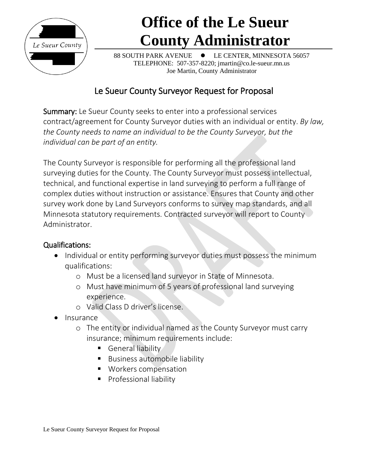

88 SOUTH PARK AVENUE  $\bullet$  LE CENTER, MINNESOTA 56057 TELEPHONE: 507-357-8220; jmartin@co.le-sueur.mn.us Joe Martin, County Administrator

## Le Sueur County Surveyor Request for Proposal

Summary: Le Sueur County seeks to enter into a professional services contract/agreement for County Surveyor duties with an individual or entity. *By law, the County needs to name an individual to be the County Surveyor, but the individual can be part of an entity.* 

The County Surveyor is responsible for performing all the professional land surveying duties for the County. The County Surveyor must possess intellectual, technical, and functional expertise in land surveying to perform a full range of complex duties without instruction or assistance. Ensures that County and other survey work done by Land Surveyors conforms to survey map standards, and all Minnesota statutory requirements. Contracted surveyor will report to County Administrator.

### Qualifications:

- Individual or entity performing surveyor duties must possess the minimum qualifications:
	- o Must be a licensed land surveyor in State of Minnesota.
	- o Must have minimum of 5 years of professional land surveying experience.
	- o Valid Class D driver's license.
- Insurance
	- o The entity or individual named as the County Surveyor must carry insurance; minimum requirements include:
		- **General liability**
		- **Business automobile liability**
		- **Workers compensation**
		- **Professional liability**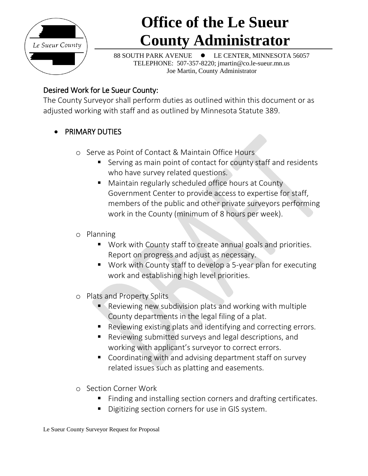

88 SOUTH PARK AVENUE LE CENTER, MINNESOTA 56057 TELEPHONE: 507-357-8220; jmartin@co.le-sueur.mn.us Joe Martin, County Administrator

### Desired Work for Le Sueur County:

The County Surveyor shall perform duties as outlined within this document or as adjusted working with staff and as outlined by Minnesota Statute 389.

- **PRIMARY DUTIES** 
	- o Serve as Point of Contact & Maintain Office Hours
		- Serving as main point of contact for county staff and residents who have survey related questions.
		- **Maintain regularly scheduled office hours at County** Government Center to provide access to expertise for staff, members of the public and other private surveyors performing work in the County (minimum of 8 hours per week).
	- o Planning
		- Work with County staff to create annual goals and priorities. Report on progress and adjust as necessary.
		- Work with County staff to develop a 5-year plan for executing work and establishing high level priorities.
	- o Plats and Property Splits
		- **Reviewing new subdivision plats and working with multiple** County departments in the legal filing of a plat.
		- Reviewing existing plats and identifying and correcting errors.
		- Reviewing submitted surveys and legal descriptions, and working with applicant's surveyor to correct errors.
		- Coordinating with and advising department staff on survey related issues such as platting and easements.
	- o Section Corner Work
		- Finding and installing section corners and drafting certificates.
		- Digitizing section corners for use in GIS system.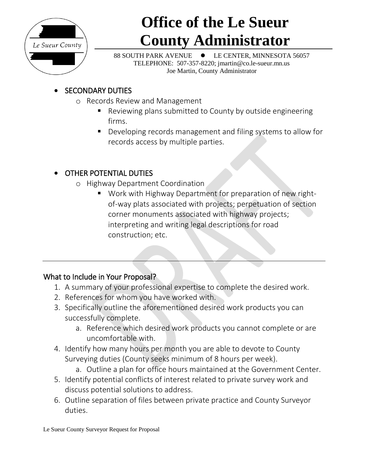

88 SOUTH PARK AVENUE LE CENTER, MINNESOTA 56057 TELEPHONE: 507-357-8220; jmartin@co.le-sueur.mn.us Joe Martin, County Administrator

## SECONDARY DUTIES

- o Records Review and Management
	- Reviewing plans submitted to County by outside engineering firms.
	- Developing records management and filing systems to allow for records access by multiple parties.

## OTHER POTENTIAL DUTIES

- o Highway Department Coordination
	- Work with Highway Department for preparation of new rightof-way plats associated with projects; perpetuation of section corner monuments associated with highway projects; interpreting and writing legal descriptions for road construction; etc.

### What to Include in Your Proposal?

- 1. A summary of your professional expertise to complete the desired work.
- 2. References for whom you have worked with.
- 3. Specifically outline the aforementioned desired work products you can successfully complete.
	- a. Reference which desired work products you cannot complete or are uncomfortable with.
- 4. Identify how many hours per month you are able to devote to County Surveying duties (County seeks minimum of 8 hours per week).
	- a. Outline a plan for office hours maintained at the Government Center.
- 5. Identify potential conflicts of interest related to private survey work and discuss potential solutions to address.
- 6. Outline separation of files between private practice and County Surveyor duties.